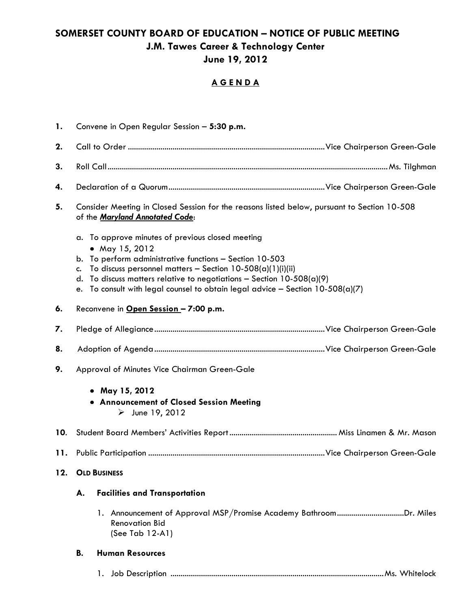## **SOMERSET COUNTY BOARD OF EDUCATION – NOTICE OF PUBLIC MEETING J.M. Tawes Career & Technology Center June 19, 2012**

## **A G E N D A**

| 1.  | Convene in Open Regular Session - 5:30 p.m.                                                                                                                                                                                                                                                                                                                              |  |  |
|-----|--------------------------------------------------------------------------------------------------------------------------------------------------------------------------------------------------------------------------------------------------------------------------------------------------------------------------------------------------------------------------|--|--|
| 2.  |                                                                                                                                                                                                                                                                                                                                                                          |  |  |
| 3.  |                                                                                                                                                                                                                                                                                                                                                                          |  |  |
| 4.  |                                                                                                                                                                                                                                                                                                                                                                          |  |  |
| 5.  | Consider Meeting in Closed Session for the reasons listed below, pursuant to Section 10-508<br>of the Maryland Annotated Code:                                                                                                                                                                                                                                           |  |  |
|     | a. To approve minutes of previous closed meeting<br>• May 15, 2012<br>To perform administrative functions - Section 10-503<br>b.<br>To discuss personnel matters - Section $10-508(a)(1)(i)(ii)$<br>C.<br>To discuss matters relative to negotiations - Section $10-508(a)(9)$<br>d.<br>e. To consult with legal counsel to obtain legal advice - Section $10-508(a)(7)$ |  |  |
| 6.  | Reconvene in Open Session - 7:00 p.m.                                                                                                                                                                                                                                                                                                                                    |  |  |
| 7.  |                                                                                                                                                                                                                                                                                                                                                                          |  |  |
| 8.  |                                                                                                                                                                                                                                                                                                                                                                          |  |  |
| 9.  | Approval of Minutes Vice Chairman Green-Gale                                                                                                                                                                                                                                                                                                                             |  |  |
|     | • May 15, 2012<br>• Announcement of Closed Session Meeting<br>$\triangleright$ June 19, 2012                                                                                                                                                                                                                                                                             |  |  |
| 10. |                                                                                                                                                                                                                                                                                                                                                                          |  |  |
| 11. |                                                                                                                                                                                                                                                                                                                                                                          |  |  |
| 12. | <b>OLD BUSINESS</b>                                                                                                                                                                                                                                                                                                                                                      |  |  |
|     | <b>Facilities and Transportation</b><br>А.                                                                                                                                                                                                                                                                                                                               |  |  |
|     | 1. Announcement of Approval MSP/Promise Academy BathroomDr. Miles<br><b>Renovation Bid</b><br>(See Tab 12-A1)                                                                                                                                                                                                                                                            |  |  |
|     | <b>Human Resources</b><br><b>B.</b>                                                                                                                                                                                                                                                                                                                                      |  |  |
|     | $\mathbf{L}$                                                                                                                                                                                                                                                                                                                                                             |  |  |